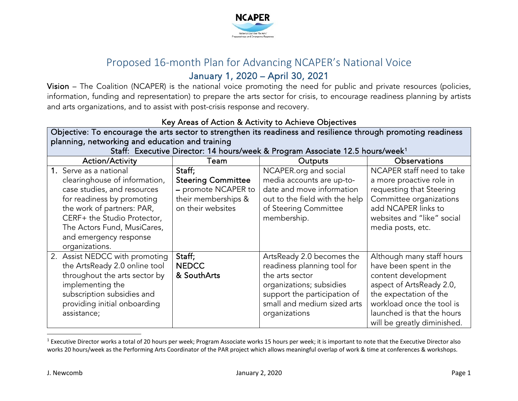<span id="page-0-0"></span>

## Proposed 16-month Plan for Advancing NCAPER's National Voice January 1, 2020 – April 30, 2021

Vision – The Coalition (NCAPER) is the national voice promoting the need for public and private resources (policies, information, funding and representation) to prepare the arts sector for crisis, to encourage readiness planning by artists and arts organizations, and to assist with post-crisis response and recovery.

| Key Areas of Action & Activity to Achieve Objectives                                                                                                                                                                                                         |                                                                                                        |                                                                                                                                                                                         |                                                                                                                                                                                                                            |
|--------------------------------------------------------------------------------------------------------------------------------------------------------------------------------------------------------------------------------------------------------------|--------------------------------------------------------------------------------------------------------|-----------------------------------------------------------------------------------------------------------------------------------------------------------------------------------------|----------------------------------------------------------------------------------------------------------------------------------------------------------------------------------------------------------------------------|
| Objective: To encourage the arts sector to strengthen its readiness and resilience through promoting readiness                                                                                                                                               |                                                                                                        |                                                                                                                                                                                         |                                                                                                                                                                                                                            |
| planning, networking and education and training                                                                                                                                                                                                              |                                                                                                        |                                                                                                                                                                                         |                                                                                                                                                                                                                            |
| Staff: Executive Director: 14 hours/week & Program Associate 12.5 hours/week <sup>1</sup>                                                                                                                                                                    |                                                                                                        |                                                                                                                                                                                         |                                                                                                                                                                                                                            |
| <b>Action/Activity</b>                                                                                                                                                                                                                                       | Team                                                                                                   | <b>Outputs</b>                                                                                                                                                                          | <b>Observations</b>                                                                                                                                                                                                        |
| 1. Serve as a national<br>clearinghouse of information,<br>case studies, and resources<br>for readiness by promoting<br>the work of partners: PAR,<br>CERF+ the Studio Protector,<br>The Actors Fund, MusiCares,<br>and emergency response<br>organizations. | Staff;<br><b>Steering Committee</b><br>- promote NCAPER to<br>their memberships &<br>on their websites | NCAPER.org and social<br>media accounts are up-to-<br>date and move information<br>out to the field with the help<br>of Steering Committee<br>membership.                               | NCAPER staff need to take<br>a more proactive role in<br>requesting that Steering<br>Committee organizations<br>add NCAPER links to<br>websites and "like" social<br>media posts, etc.                                     |
| 2. Assist NEDCC with promoting<br>the ArtsReady 2.0 online tool<br>throughout the arts sector by<br>implementing the<br>subscription subsidies and<br>providing initial onboarding<br>assistance;                                                            | Staff;<br><b>NEDCC</b><br>& SouthArts                                                                  | ArtsReady 2.0 becomes the<br>readiness planning tool for<br>the arts sector<br>organizations; subsidies<br>support the participation of<br>small and medium sized arts<br>organizations | Although many staff hours<br>have been spent in the<br>content development<br>aspect of ArtsReady 2.0,<br>the expectation of the<br>workload once the tool is<br>launched is that the hours<br>will be greatly diminished. |

## Key Areas of Action & Activity to Achieve Objectives

 $1$  Executive Director works a total of 20 hours per week; Program Associate works 15 hours per week; it is important to note that the Executive Director also works 20 hours/week as the Performing Arts Coordinator of the PAR project which allows meaningful overlap of work & time at conferences & workshops.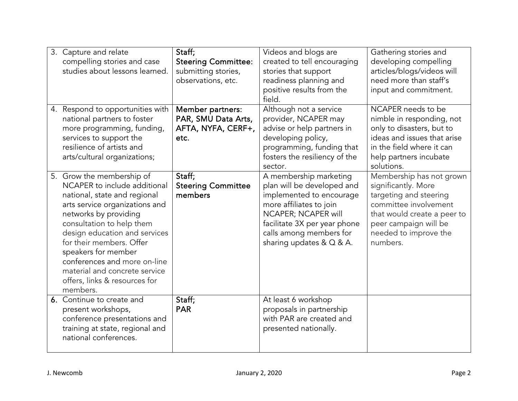| 3. Capture and relate<br>compelling stories and case<br>studies about lessons learned.                                                                                                                                                                                                                                                                                              | Staff;<br><b>Steering Committee:</b><br>submitting stories,<br>observations, etc. | Videos and blogs are<br>created to tell encouraging<br>stories that support<br>readiness planning and<br>positive results from the<br>field.                                                                                 | Gathering stories and<br>developing compelling<br>articles/blogs/videos will<br>need more than staff's<br>input and commitment.                                                                 |
|-------------------------------------------------------------------------------------------------------------------------------------------------------------------------------------------------------------------------------------------------------------------------------------------------------------------------------------------------------------------------------------|-----------------------------------------------------------------------------------|------------------------------------------------------------------------------------------------------------------------------------------------------------------------------------------------------------------------------|-------------------------------------------------------------------------------------------------------------------------------------------------------------------------------------------------|
| 4. Respond to opportunities with<br>national partners to foster<br>more programming, funding,<br>services to support the<br>resilience of artists and<br>arts/cultural organizations;                                                                                                                                                                                               | Member partners:<br>PAR, SMU Data Arts,<br>AFTA, NYFA, CERF+,<br>etc.             | Although not a service<br>provider, NCAPER may<br>advise or help partners in<br>developing policy,<br>programming, funding that<br>fosters the resiliency of the<br>sector.                                                  | NCAPER needs to be<br>nimble in responding, not<br>only to disasters, but to<br>ideas and issues that arise<br>in the field where it can<br>help partners incubate<br>solutions.                |
| 5. Grow the membership of<br>NCAPER to include additional<br>national, state and regional<br>arts service organizations and<br>networks by providing<br>consultation to help them<br>design education and services<br>for their members. Offer<br>speakers for member<br>conferences and more on-line<br>material and concrete service<br>offers, links & resources for<br>members. | Staff;<br><b>Steering Committee</b><br>members                                    | A membership marketing<br>plan will be developed and<br>implemented to encourage<br>more affiliates to join<br>NCAPER; NCAPER will<br>facilitate 3X per year phone<br>calls among members for<br>sharing updates $& Q & A$ . | Membership has not grown<br>significantly. More<br>targeting and steering<br>committee involvement<br>that would create a peer to<br>peer campaign will be<br>needed to improve the<br>numbers. |
| 6. Continue to create and<br>present workshops,<br>conference presentations and<br>training at state, regional and<br>national conferences.                                                                                                                                                                                                                                         | Staff;<br><b>PAR</b>                                                              | At least 6 workshop<br>proposals in partnership<br>with PAR are created and<br>presented nationally.                                                                                                                         |                                                                                                                                                                                                 |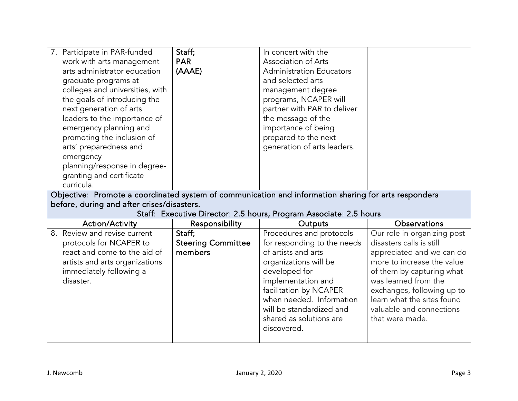| 7. Participate in PAR-funded<br>work with arts management<br>arts administrator education<br>graduate programs at<br>colleges and universities, with<br>the goals of introducing the<br>next generation of arts<br>leaders to the importance of<br>emergency planning and<br>promoting the inclusion of<br>arts' preparedness and<br>emergency<br>planning/response in degree- | Staff;<br><b>PAR</b><br>(AAAE)                 | In concert with the<br>Association of Arts<br><b>Administration Educators</b><br>and selected arts<br>management degree<br>programs, NCAPER will<br>partner with PAR to deliver<br>the message of the<br>importance of being<br>prepared to the next<br>generation of arts leaders. |                                                                                                                                                                                                                                                                                    |
|--------------------------------------------------------------------------------------------------------------------------------------------------------------------------------------------------------------------------------------------------------------------------------------------------------------------------------------------------------------------------------|------------------------------------------------|-------------------------------------------------------------------------------------------------------------------------------------------------------------------------------------------------------------------------------------------------------------------------------------|------------------------------------------------------------------------------------------------------------------------------------------------------------------------------------------------------------------------------------------------------------------------------------|
| granting and certificate<br>curricula.                                                                                                                                                                                                                                                                                                                                         |                                                |                                                                                                                                                                                                                                                                                     |                                                                                                                                                                                                                                                                                    |
| Objective: Promote a coordinated system of communication and information sharing for arts responders<br>before, during and after crises/disasters.<br>Staff: Executive Director: 2.5 hours; Program Associate: 2.5 hours                                                                                                                                                       |                                                |                                                                                                                                                                                                                                                                                     |                                                                                                                                                                                                                                                                                    |
| <b>Action/Activity</b>                                                                                                                                                                                                                                                                                                                                                         | Responsibility                                 | Outputs                                                                                                                                                                                                                                                                             | Observations                                                                                                                                                                                                                                                                       |
| 8. Review and revise current<br>protocols for NCAPER to<br>react and come to the aid of<br>artists and arts organizations<br>immediately following a<br>disaster.                                                                                                                                                                                                              | Staff;<br><b>Steering Committee</b><br>members | Procedures and protocols<br>for responding to the needs<br>of artists and arts<br>organizations will be<br>developed for<br>implementation and<br>facilitation by NCAPER<br>when needed. Information<br>will be standardized and<br>shared as solutions are<br>discovered.          | Our role in organizing post<br>disasters calls is still<br>appreciated and we can do<br>more to increase the value<br>of them by capturing what<br>was learned from the<br>exchanges, following up to<br>learn what the sites found<br>valuable and connections<br>that were made. |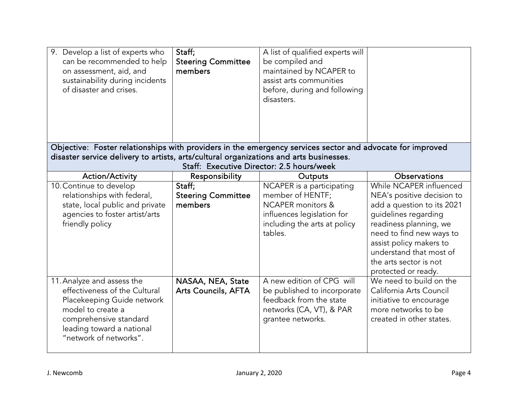| 9. Develop a list of experts who<br>can be recommended to help<br>on assessment, aid, and<br>sustainability during incidents<br>of disaster and crises.                                         | Staff;<br><b>Steering Committee</b><br>members | A list of qualified experts will<br>be compiled and<br>maintained by NCAPER to<br>assist arts communities<br>before, during and following<br>disasters. |                                                                                                                                                                                                                                                                          |
|-------------------------------------------------------------------------------------------------------------------------------------------------------------------------------------------------|------------------------------------------------|---------------------------------------------------------------------------------------------------------------------------------------------------------|--------------------------------------------------------------------------------------------------------------------------------------------------------------------------------------------------------------------------------------------------------------------------|
| Objective: Foster relationships with providers in the emergency services sector and advocate for improved                                                                                       |                                                |                                                                                                                                                         |                                                                                                                                                                                                                                                                          |
| disaster service delivery to artists, arts/cultural organizations and arts businesses.                                                                                                          |                                                | Staff: Executive Director: 2.5 hours/week                                                                                                               |                                                                                                                                                                                                                                                                          |
| <b>Action/Activity</b>                                                                                                                                                                          | Responsibility                                 | Outputs                                                                                                                                                 | Observations                                                                                                                                                                                                                                                             |
| 10. Continue to develop<br>relationships with federal,<br>state, local public and private<br>agencies to foster artist/arts<br>friendly policy                                                  | Staff;<br><b>Steering Committee</b><br>members | NCAPER is a participating<br>member of HENTF;<br><b>NCAPER</b> monitors &<br>influences legislation for<br>including the arts at policy<br>tables.      | While NCAPER influenced<br>NEA's positive decision to<br>add a question to its 2021<br>guidelines regarding<br>readiness planning, we<br>need to find new ways to<br>assist policy makers to<br>understand that most of<br>the arts sector is not<br>protected or ready. |
| 11. Analyze and assess the<br>effectiveness of the Cultural<br>Placekeeping Guide network<br>model to create a<br>comprehensive standard<br>leading toward a national<br>"network of networks". | NASAA, NEA, State<br>Arts Councils, AFTA       | A new edition of CPG will<br>be published to incorporate<br>feedback from the state<br>networks (CA, VT), & PAR<br>grantee networks.                    | We need to build on the<br>California Arts Council<br>initiative to encourage<br>more networks to be<br>created in other states.                                                                                                                                         |